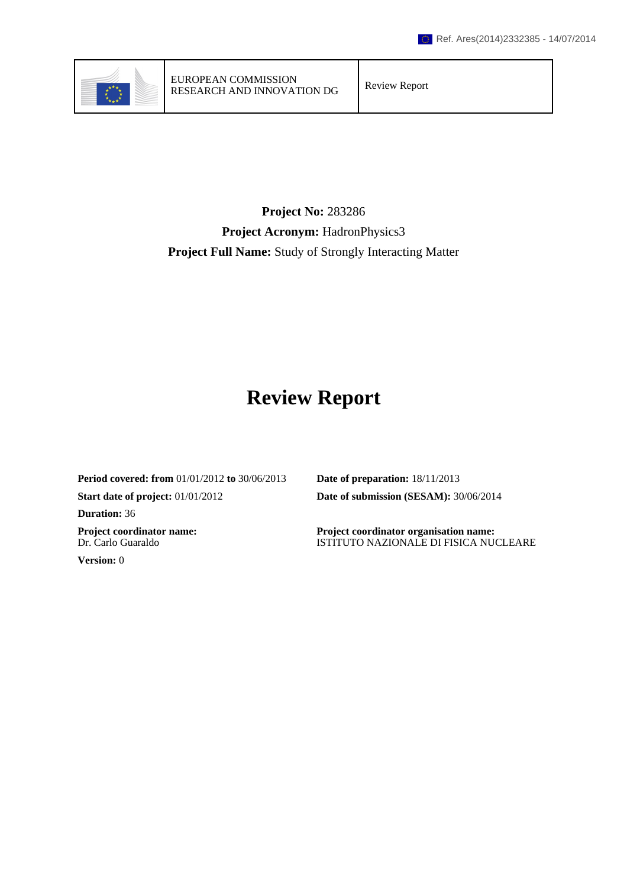

## **Project No:** 283286 **Project Acronym:** HadronPhysics3 **Project Full Name:** Study of Strongly Interacting Matter

# **Review Report**

**Period covered: from** 01/01/2012 **to** 30/06/2013 **Date of preparation:** 18/11/2013 **Start date of project:** 01/01/2012 **Date of submission (SESAM):** 30/06/2014 **Duration:** 36 **Project coordinator name:** Dr. Carlo Guaraldo **Version:** 0

**Project coordinator organisation name:** ISTITUTO NAZIONALE DI FISICA NUCLEARE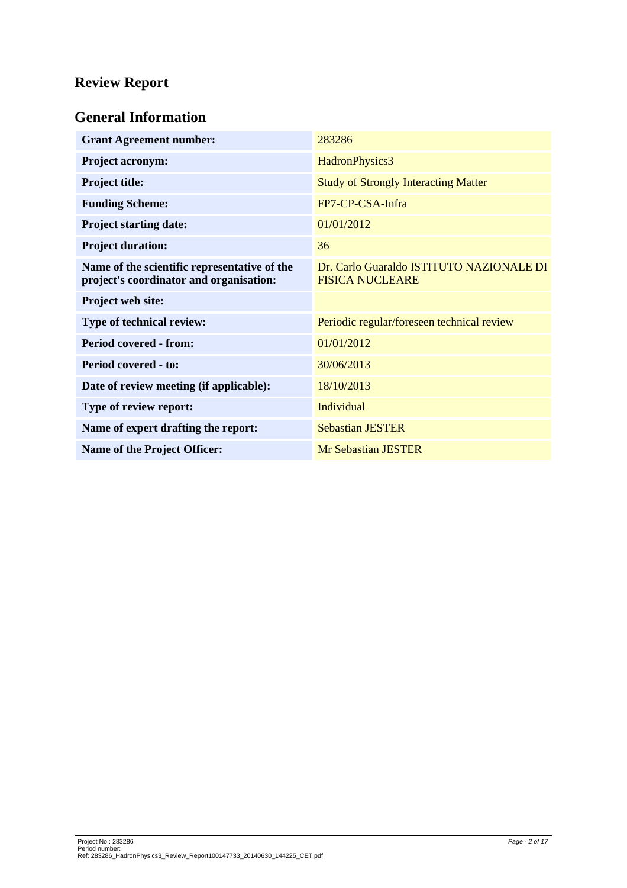## **Review Report**

## **General Information**

| <b>Grant Agreement number:</b>                                                          | 283286                                                             |
|-----------------------------------------------------------------------------------------|--------------------------------------------------------------------|
| <b>Project acronym:</b>                                                                 | HadronPhysics3                                                     |
| <b>Project title:</b>                                                                   | <b>Study of Strongly Interacting Matter</b>                        |
| <b>Funding Scheme:</b>                                                                  | FP7-CP-CSA-Infra                                                   |
| <b>Project starting date:</b>                                                           | 01/01/2012                                                         |
| <b>Project duration:</b>                                                                | 36                                                                 |
| Name of the scientific representative of the<br>project's coordinator and organisation: | Dr. Carlo Guaraldo ISTITUTO NAZIONALE DI<br><b>FISICA NUCLEARE</b> |
| Project web site:                                                                       |                                                                    |
| Type of technical review:                                                               | Periodic regular/foreseen technical review                         |
| <b>Period covered - from:</b>                                                           | 01/01/2012                                                         |
| <b>Period covered - to:</b>                                                             | 30/06/2013                                                         |
| Date of review meeting (if applicable):                                                 | 18/10/2013                                                         |
| Type of review report:                                                                  | Individual                                                         |
| Name of expert drafting the report:                                                     | <b>Sebastian JESTER</b>                                            |
| <b>Name of the Project Officer:</b>                                                     | <b>Mr Sebastian JESTER</b>                                         |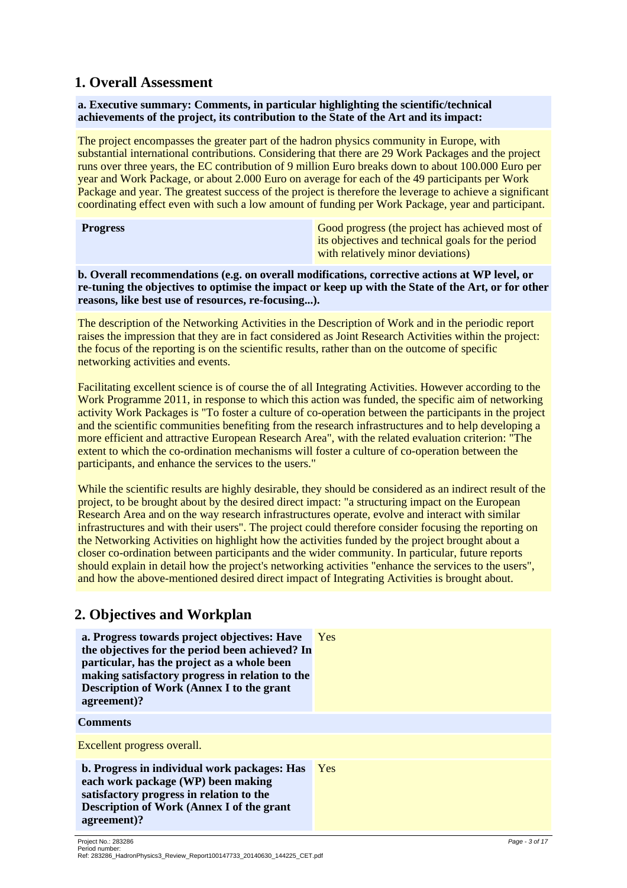### **1. Overall Assessment**

#### **a. Executive summary: Comments, in particular highlighting the scientific/technical achievements of the project, its contribution to the State of the Art and its impact:**

The project encompasses the greater part of the hadron physics community in Europe, with substantial international contributions. Considering that there are 29 Work Packages and the project runs over three years, the EC contribution of 9 million Euro breaks down to about 100.000 Euro per year and Work Package, or about 2.000 Euro on average for each of the 49 participants per Work Package and year. The greatest success of the project is therefore the leverage to achieve a significant coordinating effect even with such a low amount of funding per Work Package, year and participant.

| <b>Progress</b> |
|-----------------|
|-----------------|

Good progress (the project has achieved most of its objectives and technical goals for the period with relatively minor deviations)

**b. Overall recommendations (e.g. on overall modifications, corrective actions at WP level, or re-tuning the objectives to optimise the impact or keep up with the State of the Art, or for other reasons, like best use of resources, re-focusing...).**

The description of the Networking Activities in the Description of Work and in the periodic report raises the impression that they are in fact considered as Joint Research Activities within the project: the focus of the reporting is on the scientific results, rather than on the outcome of specific networking activities and events.

Facilitating excellent science is of course the of all Integrating Activities. However according to the Work Programme 2011, in response to which this action was funded, the specific aim of networking activity Work Packages is "To foster a culture of co-operation between the participants in the project and the scientific communities benefiting from the research infrastructures and to help developing a more efficient and attractive European Research Area", with the related evaluation criterion: "The extent to which the co-ordination mechanisms will foster a culture of co-operation between the participants, and enhance the services to the users."

While the scientific results are highly desirable, they should be considered as an indirect result of the project, to be brought about by the desired direct impact: "a structuring impact on the European Research Area and on the way research infrastructures operate, evolve and interact with similar infrastructures and with their users". The project could therefore consider focusing the reporting on the Networking Activities on highlight how the activities funded by the project brought about a closer co-ordination between participants and the wider community. In particular, future reports should explain in detail how the project's networking activities "enhance the services to the users", and how the above-mentioned desired direct impact of Integrating Activities is brought about.

## **2. Objectives and Workplan**

| a. Progress towards project objectives: Have<br>the objectives for the period been achieved? In<br>particular, has the project as a whole been<br>making satisfactory progress in relation to the<br><b>Description of Work (Annex I to the grant</b><br>agreement)? | <b>Yes</b> |
|----------------------------------------------------------------------------------------------------------------------------------------------------------------------------------------------------------------------------------------------------------------------|------------|
| <b>Comments</b>                                                                                                                                                                                                                                                      |            |
| Excellent progress overall.                                                                                                                                                                                                                                          |            |
| b. Progress in individual work packages: Has<br>each work package (WP) been making<br>satisfactory progress in relation to the<br><b>Description of Work (Annex I of the grant</b><br>agreement)?                                                                    | <b>Yes</b> |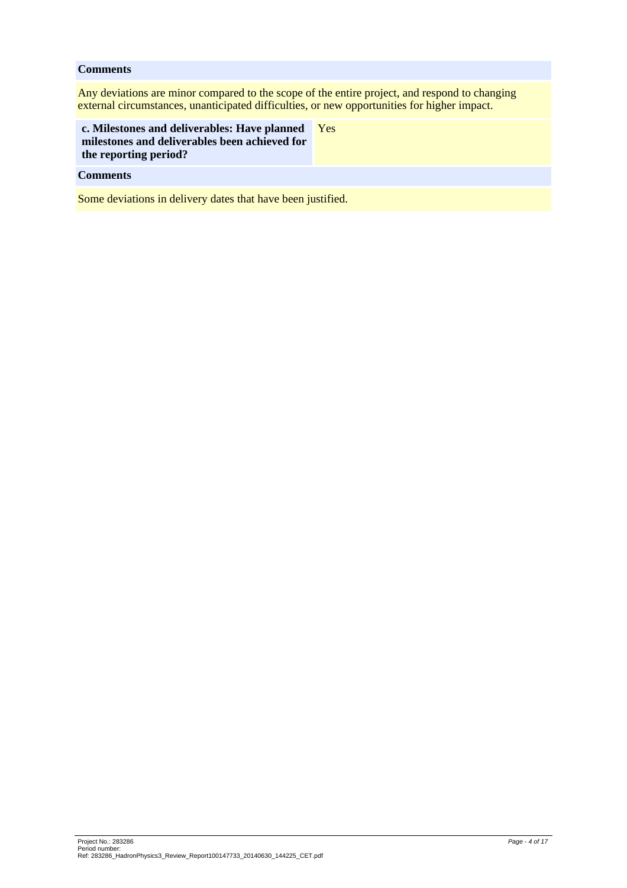#### **Comments**

Any deviations are minor compared to the scope of the entire project, and respond to changing external circumstances, unanticipated difficulties, or new opportunities for higher impact.

| c. Milestones and deliverables: Have planned  |  |
|-----------------------------------------------|--|
| milestones and deliverables been achieved for |  |
| the reporting period?                         |  |

Yes

## **Comments**

Some deviations in delivery dates that have been justified.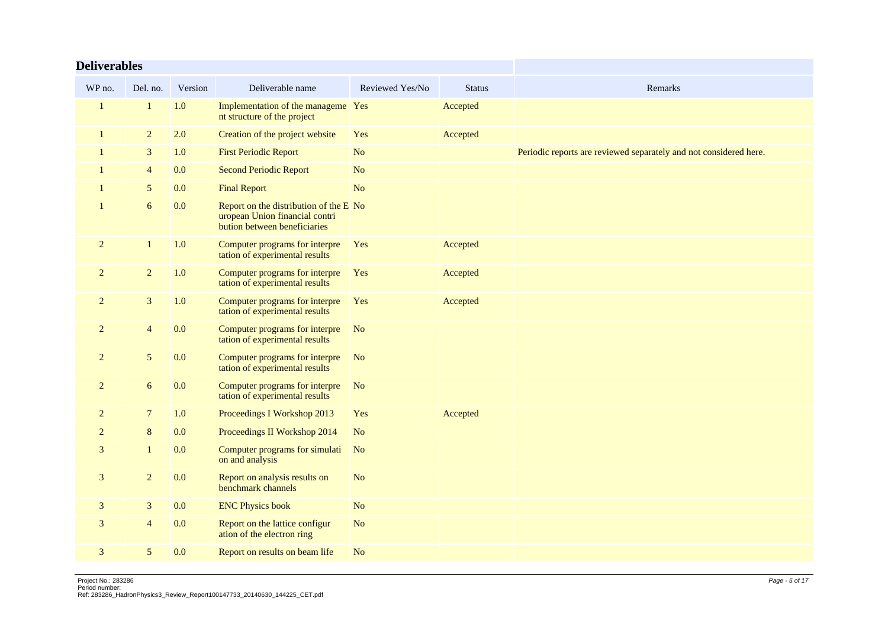| <b>Deliverables</b> |                  |         |                                                                                                          |                 |               |                                                                   |
|---------------------|------------------|---------|----------------------------------------------------------------------------------------------------------|-----------------|---------------|-------------------------------------------------------------------|
| WP no.              | Del. no.         | Version | Deliverable name                                                                                         | Reviewed Yes/No | <b>Status</b> | Remarks                                                           |
| -1                  | 1                | 1.0     | Implementation of the manageme Yes<br>nt structure of the project                                        |                 | Accepted      |                                                                   |
| $\mathbf{1}$        | $\overline{2}$   | 2.0     | Creation of the project website                                                                          | Yes             | Accepted      |                                                                   |
| -1                  | $\mathfrak{Z}$   | 1.0     | <b>First Periodic Report</b>                                                                             | N <sub>o</sub>  |               | Periodic reports are reviewed separately and not considered here. |
|                     | $\overline{4}$   | 0.0     | <b>Second Periodic Report</b>                                                                            | N <sub>o</sub>  |               |                                                                   |
|                     | 5                | 0.0     | <b>Final Report</b>                                                                                      | N <sub>o</sub>  |               |                                                                   |
| $\mathbf{1}$        | $\boldsymbol{6}$ | 0.0     | Report on the distribution of the E No<br>uropean Union financial contri<br>bution between beneficiaries |                 |               |                                                                   |
| $\overline{2}$      | $\mathbf{1}$     | 1.0     | Computer programs for interpre<br>tation of experimental results                                         | Yes             | Accepted      |                                                                   |
| $\overline{2}$      | $\overline{2}$   | 1.0     | Computer programs for interpre<br>tation of experimental results                                         | Yes             | Accepted      |                                                                   |
| $\overline{c}$      | $\mathbf{3}$     | 1.0     | Computer programs for interpre<br>tation of experimental results                                         | Yes             | Accepted      |                                                                   |
| $\overline{2}$      | $\overline{4}$   | 0.0     | Computer programs for interpre<br>tation of experimental results                                         | No              |               |                                                                   |
| $\overline{2}$      | $\mathfrak{S}$   | 0.0     | Computer programs for interpre<br>tation of experimental results                                         | N <sub>o</sub>  |               |                                                                   |
| $\overline{2}$      | 6                | 0.0     | Computer programs for interpre<br>tation of experimental results                                         | N <sub>o</sub>  |               |                                                                   |
| $\overline{2}$      | $\overline{7}$   | 1.0     | Proceedings I Workshop 2013                                                                              | Yes             | Accepted      |                                                                   |
| $\overline{2}$      | 8                | 0.0     | Proceedings II Workshop 2014                                                                             | N <sub>o</sub>  |               |                                                                   |
| 3                   | $\mathbf{1}$     | 0.0     | Computer programs for simulati<br>on and analysis                                                        | N <sub>o</sub>  |               |                                                                   |
| 3                   | $\overline{2}$   | 0.0     | Report on analysis results on<br>benchmark channels                                                      | N <sub>o</sub>  |               |                                                                   |
| 3                   | $\mathfrak{Z}$   | 0.0     | <b>ENC Physics book</b>                                                                                  | N <sub>o</sub>  |               |                                                                   |
| 3                   | $\overline{4}$   | 0.0     | Report on the lattice configur<br>ation of the electron ring                                             | N <sub>o</sub>  |               |                                                                   |
| 3                   | 5                | 0.0     | Report on results on beam life                                                                           | N <sub>o</sub>  |               |                                                                   |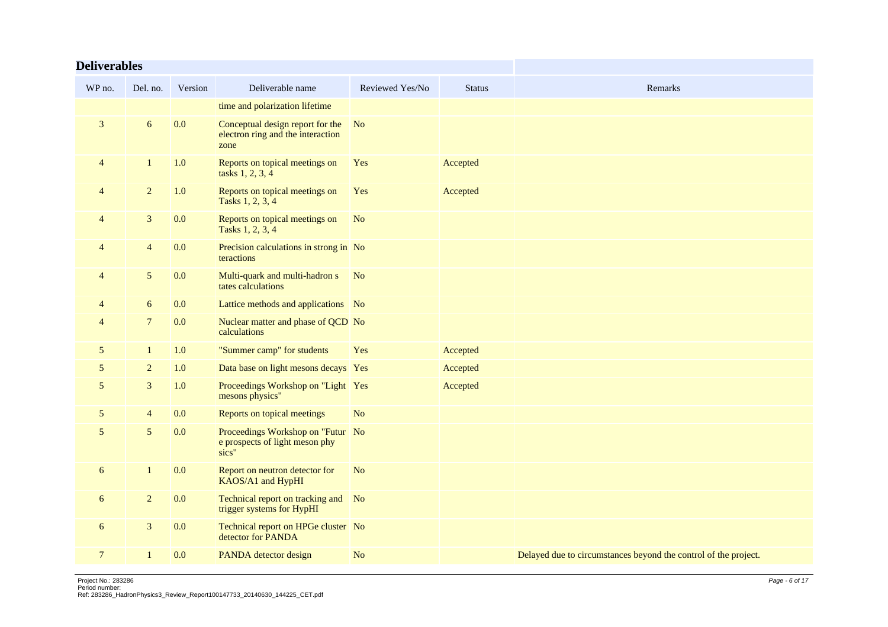| <b>Deliverables</b> |                |         |                                                                               |                 |               |                                                                 |
|---------------------|----------------|---------|-------------------------------------------------------------------------------|-----------------|---------------|-----------------------------------------------------------------|
| WP no.              | Del. no.       | Version | Deliverable name                                                              | Reviewed Yes/No | <b>Status</b> | Remarks                                                         |
|                     |                |         | time and polarization lifetime                                                |                 |               |                                                                 |
| $\mathbf{3}$        | 6              | 0.0     | Conceptual design report for the<br>electron ring and the interaction<br>zone | <b>No</b>       |               |                                                                 |
| $\overline{4}$      | $\mathbf{1}$   | 1.0     | Reports on topical meetings on<br>tasks 1, 2, 3, 4                            | Yes             | Accepted      |                                                                 |
| $\overline{4}$      | $\overline{2}$ | 1.0     | Reports on topical meetings on<br>Tasks 1, 2, 3, 4                            | Yes             | Accepted      |                                                                 |
| 4                   | $\mathbf{3}$   | 0.0     | Reports on topical meetings on<br>Tasks 1, 2, 3, 4                            | N <sub>o</sub>  |               |                                                                 |
| 4                   | $\overline{4}$ | 0.0     | Precision calculations in strong in No<br>teractions                          |                 |               |                                                                 |
| 4                   | $\mathfrak{S}$ | 0.0     | Multi-quark and multi-hadron s<br>tates calculations                          | N <sub>o</sub>  |               |                                                                 |
| 4                   | 6              | 0.0     | Lattice methods and applications No                                           |                 |               |                                                                 |
| 4                   | $\tau$         | 0.0     | Nuclear matter and phase of QCD No<br>calculations                            |                 |               |                                                                 |
| 5                   | $\mathbf{1}$   | 1.0     | "Summer camp" for students                                                    | Yes             | Accepted      |                                                                 |
| 5                   | $\overline{2}$ | 1.0     | Data base on light mesons decays Yes                                          |                 | Accepted      |                                                                 |
| 5                   | $\mathfrak{Z}$ | 1.0     | Proceedings Workshop on "Light Yes<br>mesons physics"                         |                 | Accepted      |                                                                 |
| 5                   | $\overline{4}$ | 0.0     | Reports on topical meetings                                                   | N <sub>o</sub>  |               |                                                                 |
| 5                   | $\mathfrak{S}$ | 0.0     | Proceedings Workshop on "Futur No<br>e prospects of light meson phy<br>sics"  |                 |               |                                                                 |
| 6                   | $\mathbf{1}$   | 0.0     | Report on neutron detector for<br>KAOS/A1 and HypHI                           | N <sub>o</sub>  |               |                                                                 |
| 6                   | $\overline{2}$ | 0.0     | Technical report on tracking and No<br>trigger systems for HypHI              |                 |               |                                                                 |
| 6                   | $\mathfrak{Z}$ | 0.0     | Technical report on HPGe cluster No<br>detector for PANDA                     |                 |               |                                                                 |
| $\overline{7}$      | $\mathbf{1}$   | 0.0     | PANDA detector design                                                         | N <sub>o</sub>  |               | Delayed due to circumstances beyond the control of the project. |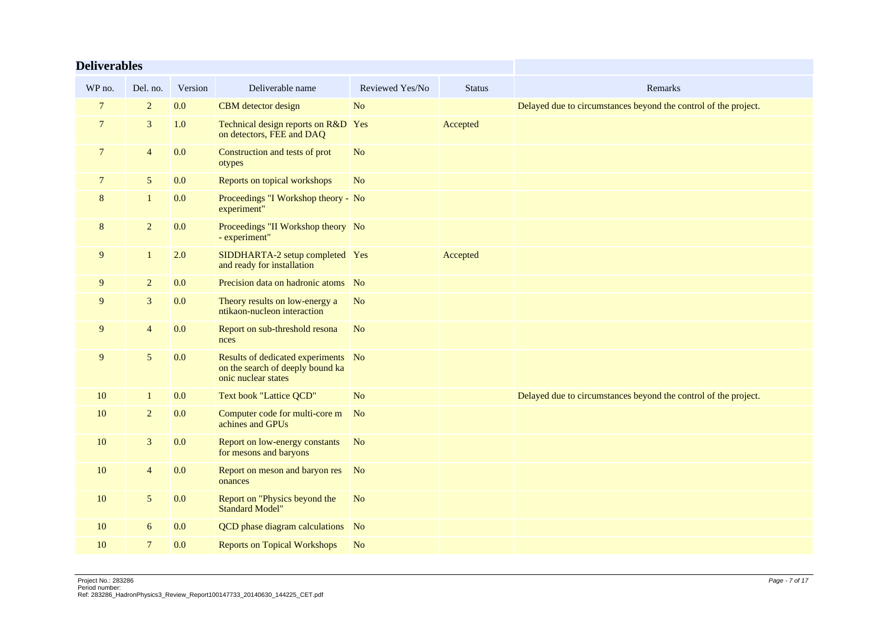| <b>Deliverables</b> |                 |         |                                                                                                |                 |               |                                                                 |
|---------------------|-----------------|---------|------------------------------------------------------------------------------------------------|-----------------|---------------|-----------------------------------------------------------------|
| WP no.              | Del. no.        | Version | Deliverable name                                                                               | Reviewed Yes/No | <b>Status</b> | Remarks                                                         |
| $\overline{7}$      | $\overline{2}$  | 0.0     | CBM detector design                                                                            | N <sub>o</sub>  |               | Delayed due to circumstances beyond the control of the project. |
| $\overline{7}$      | 3               | 1.0     | Technical design reports on R&D Yes<br>on detectors, FEE and DAQ                               |                 | Accepted      |                                                                 |
| $\overline{7}$      | $\overline{4}$  | 0.0     | Construction and tests of prot<br>otypes                                                       | N <sub>o</sub>  |               |                                                                 |
| $\overline{7}$      | $5\phantom{.0}$ | 0.0     | Reports on topical workshops                                                                   | N <sub>o</sub>  |               |                                                                 |
| 8                   | $\mathbf{1}$    | 0.0     | Proceedings "I Workshop theory - No<br>experiment"                                             |                 |               |                                                                 |
| 8                   | $\overline{2}$  | 0.0     | Proceedings "II Workshop theory No<br>- experiment"                                            |                 |               |                                                                 |
| 9                   | $\mathbf{1}$    | 2.0     | SIDDHARTA-2 setup completed Yes<br>and ready for installation                                  |                 | Accepted      |                                                                 |
| 9                   | $\overline{2}$  | 0.0     | Precision data on hadronic atoms No                                                            |                 |               |                                                                 |
| 9                   | 3               | 0.0     | Theory results on low-energy a<br>ntikaon-nucleon interaction                                  | N <sub>o</sub>  |               |                                                                 |
| 9                   | $\overline{4}$  | 0.0     | Report on sub-threshold resona<br>nces                                                         | N <sub>o</sub>  |               |                                                                 |
| 9                   | 5               | 0.0     | Results of dedicated experiments No<br>on the search of deeply bound ka<br>onic nuclear states |                 |               |                                                                 |
| 10                  | $\mathbf{1}$    | 0.0     | Text book "Lattice QCD"                                                                        | N <sub>o</sub>  |               | Delayed due to circumstances beyond the control of the project. |
| 10                  | $\overline{2}$  | 0.0     | Computer code for multi-core m<br>achines and GPUs                                             | N <sub>o</sub>  |               |                                                                 |
| 10                  | $\mathfrak{Z}$  | 0.0     | Report on low-energy constants<br>for mesons and baryons                                       | <b>No</b>       |               |                                                                 |
| 10                  | $\overline{4}$  | 0.0     | Report on meson and baryon res No<br>onances                                                   |                 |               |                                                                 |
| 10                  | $5\phantom{.0}$ | 0.0     | Report on "Physics beyond the<br><b>Standard Model"</b>                                        | N <sub>o</sub>  |               |                                                                 |
| 10                  | 6               | 0.0     | QCD phase diagram calculations No                                                              |                 |               |                                                                 |
| 10                  | $\overline{7}$  | 0.0     | <b>Reports on Topical Workshops</b>                                                            | N <sub>o</sub>  |               |                                                                 |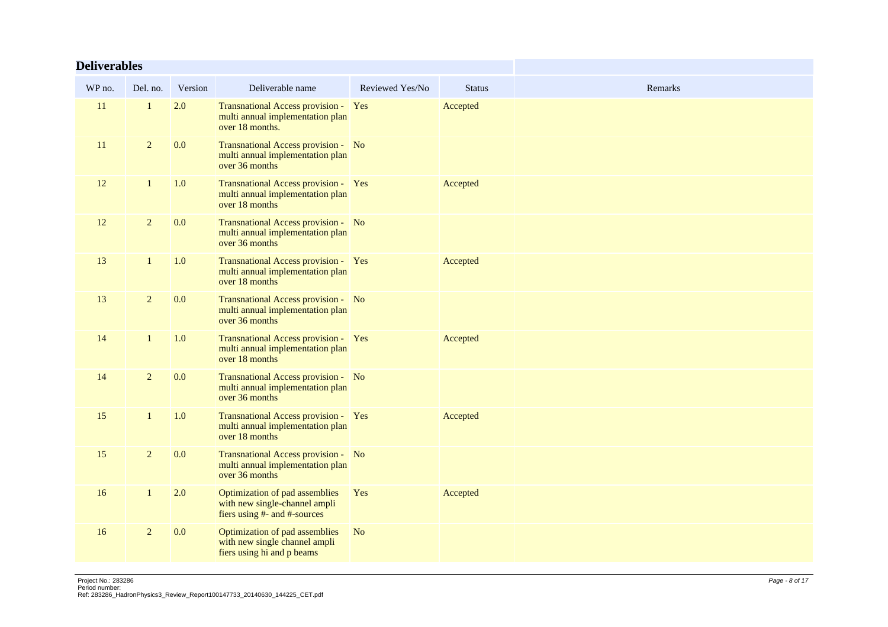| <b>Deliverables</b> |                |         |                                                                                                 |                 |               |         |
|---------------------|----------------|---------|-------------------------------------------------------------------------------------------------|-----------------|---------------|---------|
| WP no.              | Del. no.       | Version | Deliverable name                                                                                | Reviewed Yes/No | <b>Status</b> | Remarks |
| 11                  |                | 2.0     | Transnational Access provision - Yes<br>multi annual implementation plan<br>over 18 months.     |                 | Accepted      |         |
| 11                  | $\overline{2}$ | 0.0     | Transnational Access provision - No<br>multi annual implementation plan<br>over 36 months       |                 |               |         |
| 12                  | $\mathbf{1}$   | 1.0     | Transnational Access provision - Yes<br>multi annual implementation plan<br>over 18 months      |                 | Accepted      |         |
| 12                  | $\overline{c}$ | 0.0     | Transnational Access provision - No<br>multi annual implementation plan<br>over 36 months       |                 |               |         |
| 13                  | 1              | 1.0     | Transnational Access provision - Yes<br>multi annual implementation plan<br>over 18 months      |                 | Accepted      |         |
| 13                  | $\overline{c}$ | 0.0     | Transnational Access provision - No<br>multi annual implementation plan<br>over 36 months       |                 |               |         |
| 14                  | $\mathbf{1}$   | 1.0     | Transnational Access provision - Yes<br>multi annual implementation plan<br>over 18 months      |                 | Accepted      |         |
| 14                  | $\overline{c}$ | 0.0     | Transnational Access provision - No<br>multi annual implementation plan<br>over 36 months       |                 |               |         |
| 15                  | $\mathbf{1}$   | 1.0     | Transnational Access provision - Yes<br>multi annual implementation plan<br>over 18 months      |                 | Accepted      |         |
| 15                  | $\overline{2}$ | 0.0     | Transnational Access provision - No<br>multi annual implementation plan<br>over 36 months       |                 |               |         |
| 16                  | $\mathbf{1}$   | 2.0     | Optimization of pad assemblies<br>with new single-channel ampli<br>fiers using #- and #-sources | Yes             | Accepted      |         |
| 16                  | $\overline{2}$ | 0.0     | Optimization of pad assemblies<br>with new single channel ampli<br>fiers using hi and p beams   | N <sub>o</sub>  |               |         |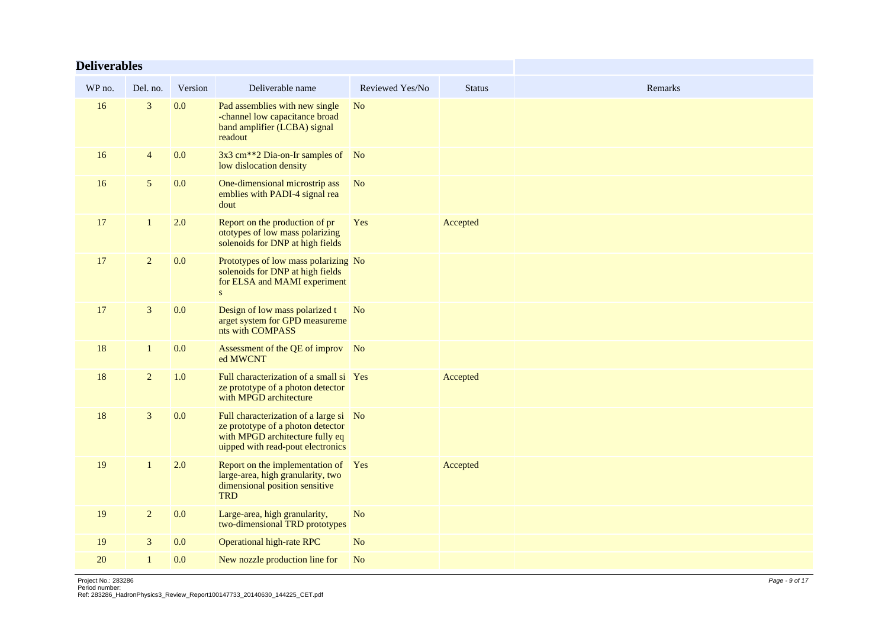| <b>Deliverables</b> |                |         |                                                                                                                                                     |                 |               |         |
|---------------------|----------------|---------|-----------------------------------------------------------------------------------------------------------------------------------------------------|-----------------|---------------|---------|
| WP no.              | Del. no.       | Version | Deliverable name                                                                                                                                    | Reviewed Yes/No | <b>Status</b> | Remarks |
| 16                  | 3              | 0.0     | Pad assemblies with new single<br>-channel low capacitance broad<br>band amplifier (LCBA) signal<br>readout                                         | N <sub>o</sub>  |               |         |
| 16                  | $\overline{4}$ | 0.0     | 3x3 cm <sup>**</sup> 2 Dia-on-Ir samples of No<br>low dislocation density                                                                           |                 |               |         |
| 16                  | $\sqrt{5}$     | 0.0     | One-dimensional microstrip ass<br>emblies with PADI-4 signal rea<br>dout                                                                            | <b>No</b>       |               |         |
| 17                  | $\mathbf{1}$   | 2.0     | Report on the production of pr<br>ototypes of low mass polarizing<br>solenoids for DNP at high fields                                               | Yes             | Accepted      |         |
| 17                  | $\overline{2}$ | 0.0     | Prototypes of low mass polarizing No<br>solenoids for DNP at high fields<br>for ELSA and MAMI experiment<br>${\bf S}$                               |                 |               |         |
| 17                  | $\mathfrak{Z}$ | 0.0     | Design of low mass polarized t<br>arget system for GPD measureme<br>nts with COMPASS                                                                | N <sub>o</sub>  |               |         |
| 18                  | $\mathbf{1}$   | 0.0     | Assessment of the QE of improv No<br>ed MWCNT                                                                                                       |                 |               |         |
| 18                  | $\overline{2}$ | 1.0     | Full characterization of a small si Yes<br>ze prototype of a photon detector<br>with MPGD architecture                                              |                 | Accepted      |         |
| 18                  | 3              | 0.0     | Full characterization of a large si No<br>ze prototype of a photon detector<br>with MPGD architecture fully eq<br>uipped with read-pout electronics |                 |               |         |
| 19                  | $\mathbf{1}$   | 2.0     | Report on the implementation of Yes<br>large-area, high granularity, two<br>dimensional position sensitive<br><b>TRD</b>                            |                 | Accepted      |         |
| 19                  | $\overline{2}$ | 0.0     | Large-area, high granularity,<br>two-dimensional TRD prototypes                                                                                     | No              |               |         |
| 19                  | $\mathfrak{Z}$ | 0.0     | <b>Operational high-rate RPC</b>                                                                                                                    | N <sub>o</sub>  |               |         |
| 20                  | $\mathbf{1}$   | 0.0     | New nozzle production line for                                                                                                                      | N <sub>o</sub>  |               |         |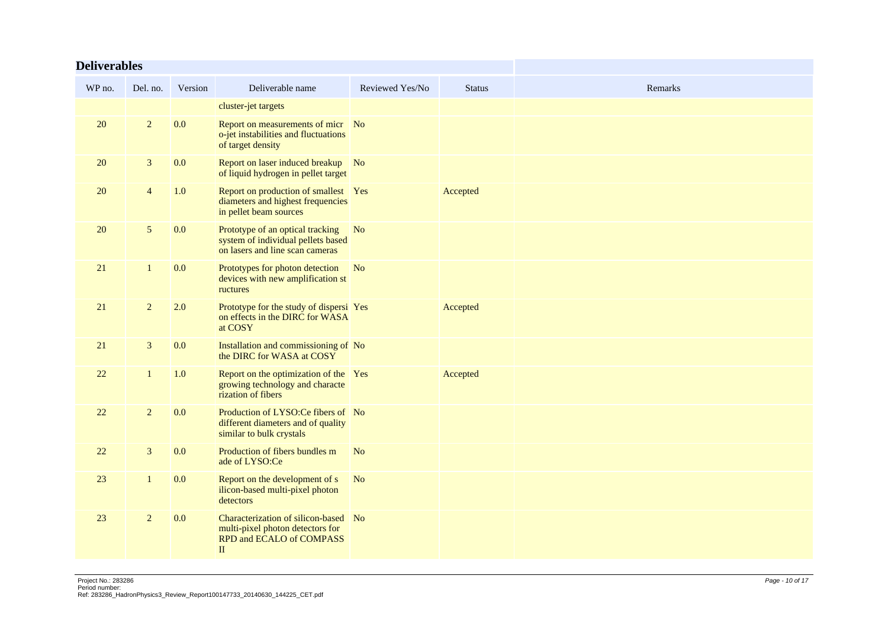| <b>Deliverables</b> |                |         |                                                                                                                      |                 |               |         |
|---------------------|----------------|---------|----------------------------------------------------------------------------------------------------------------------|-----------------|---------------|---------|
| WP no.              | Del. no.       | Version | Deliverable name                                                                                                     | Reviewed Yes/No | <b>Status</b> | Remarks |
|                     |                |         | cluster-jet targets                                                                                                  |                 |               |         |
| 20                  | $\overline{2}$ | 0.0     | Report on measurements of micr No<br>o-jet instabilities and fluctuations<br>of target density                       |                 |               |         |
| 20                  | $\mathbf{3}$   | 0.0     | Report on laser induced breakup No<br>of liquid hydrogen in pellet target                                            |                 |               |         |
| 20                  | $\overline{4}$ | 1.0     | Report on production of smallest Yes<br>diameters and highest frequencies<br>in pellet beam sources                  |                 | Accepted      |         |
| 20                  | 5              | 0.0     | Prototype of an optical tracking<br>system of individual pellets based<br>on lasers and line scan cameras            | N <sub>o</sub>  |               |         |
| 21                  | $\mathbf{1}$   | 0.0     | Prototypes for photon detection No<br>devices with new amplification st<br>ructures                                  |                 |               |         |
| 21                  | $\overline{2}$ | 2.0     | Prototype for the study of dispersi Yes<br>on effects in the DIRC for WASA<br>at COSY                                |                 | Accepted      |         |
| 21                  | $\mathfrak{Z}$ | 0.0     | Installation and commissioning of No<br>the DIRC for WASA at COSY                                                    |                 |               |         |
| 22                  | $\mathbf{1}$   | 1.0     | Report on the optimization of the Yes<br>growing technology and characte<br>rization of fibers                       |                 | Accepted      |         |
| 22                  | $\overline{c}$ | 0.0     | Production of LYSO:Ce fibers of No<br>different diameters and of quality<br>similar to bulk crystals                 |                 |               |         |
| 22                  | 3              | 0.0     | Production of fibers bundles m<br>ade of LYSO:Ce                                                                     | N <sub>o</sub>  |               |         |
| 23                  | $\mathbf{1}$   | 0.0     | Report on the development of s<br>ilicon-based multi-pixel photon<br>detectors                                       | N <sub>o</sub>  |               |         |
| 23                  | $\overline{2}$ | 0.0     | Characterization of silicon-based No<br>multi-pixel photon detectors for<br>RPD and ECALO of COMPASS<br>$\mathbf{I}$ |                 |               |         |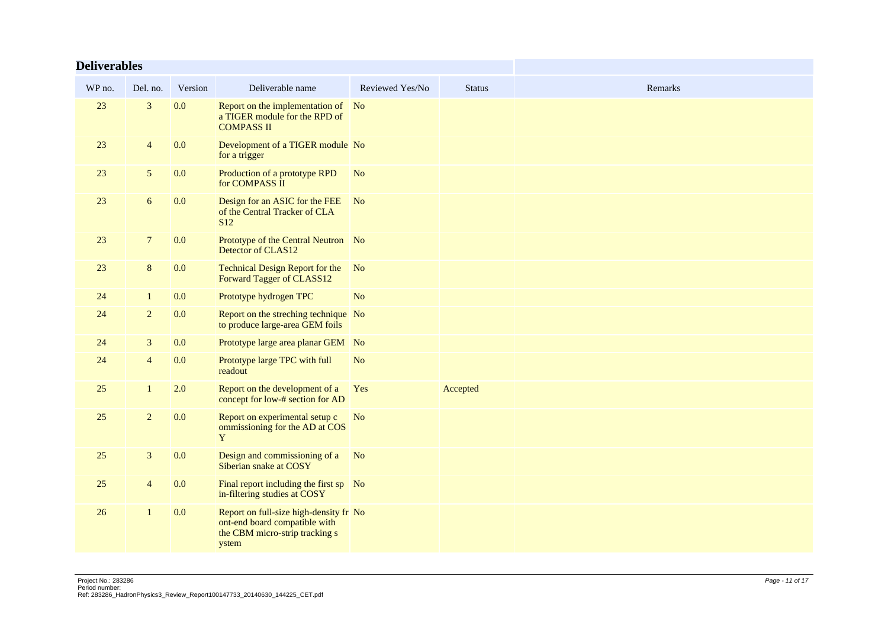| <b>Deliverables</b> |                |         |                                                                                                                    |                 |               |         |
|---------------------|----------------|---------|--------------------------------------------------------------------------------------------------------------------|-----------------|---------------|---------|
| WP no.              | Del. no.       | Version | Deliverable name                                                                                                   | Reviewed Yes/No | <b>Status</b> | Remarks |
| 23                  | 3              | 0.0     | Report on the implementation of No<br>a TIGER module for the RPD of<br><b>COMPASS II</b>                           |                 |               |         |
| 23                  | $\overline{4}$ | 0.0     | Development of a TIGER module No<br>for a trigger                                                                  |                 |               |         |
| 23                  | $\mathfrak{h}$ | 0.0     | Production of a prototype RPD<br>for COMPASS II                                                                    | N <sub>o</sub>  |               |         |
| 23                  | 6              | 0.0     | Design for an ASIC for the FEE No<br>of the Central Tracker of CLA<br>S <sub>12</sub>                              |                 |               |         |
| 23                  | $\overline{7}$ | 0.0     | Prototype of the Central Neutron No<br>Detector of CLAS12                                                          |                 |               |         |
| 23                  | $\bf 8$        | 0.0     | Technical Design Report for the No<br>Forward Tagger of CLASS12                                                    |                 |               |         |
| 24                  | $\mathbf{1}$   | 0.0     | Prototype hydrogen TPC                                                                                             | N <sub>o</sub>  |               |         |
| 24                  | $\overline{2}$ | 0.0     | Report on the streching technique No<br>to produce large-area GEM foils                                            |                 |               |         |
| 24                  | $\mathbf{3}$   | 0.0     | Prototype large area planar GEM No                                                                                 |                 |               |         |
| 24                  | $\overline{4}$ | 0.0     | Prototype large TPC with full<br>readout                                                                           | N <sub>o</sub>  |               |         |
| 25                  | $\mathbf{1}$   | 2.0     | Report on the development of a<br>concept for low-# section for AD                                                 | Yes             | Accepted      |         |
| 25                  | $\overline{2}$ | 0.0     | Report on experimental setup c<br>ommissioning for the AD at COS<br>Y                                              | N <sub>o</sub>  |               |         |
| 25                  | $\mathfrak{Z}$ | 0.0     | Design and commissioning of a<br>Siberian snake at COSY                                                            | N <sub>o</sub>  |               |         |
| 25                  | $\overline{4}$ | 0.0     | Final report including the first sp No<br>in-filtering studies at COSY                                             |                 |               |         |
| 26                  | $\mathbf{1}$   | 0.0     | Report on full-size high-density fr No<br>ont-end board compatible with<br>the CBM micro-strip tracking s<br>ystem |                 |               |         |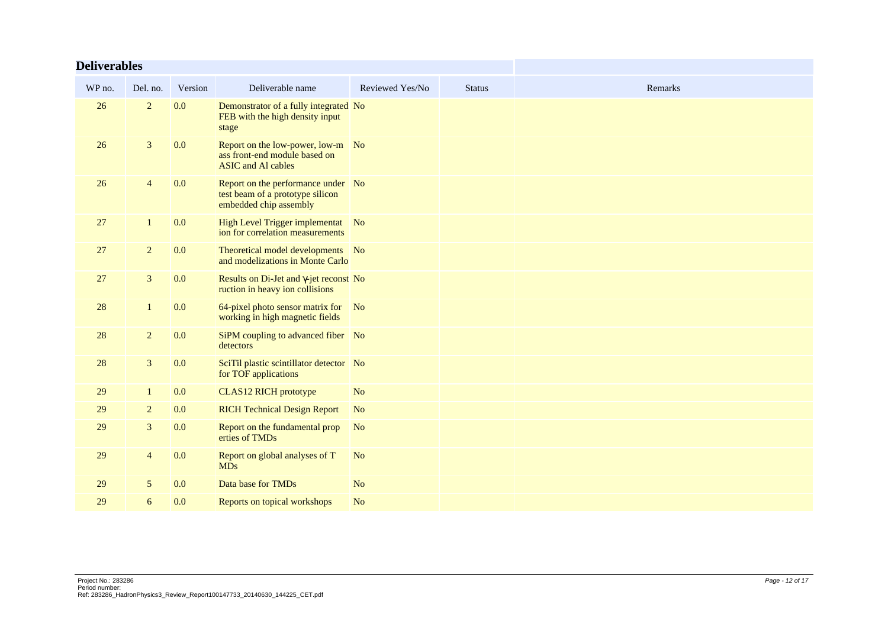| <b>Deliverables</b> |                |         |                                                                                                  |                 |               |         |
|---------------------|----------------|---------|--------------------------------------------------------------------------------------------------|-----------------|---------------|---------|
| WP no.              | Del. no.       | Version | Deliverable name                                                                                 | Reviewed Yes/No | <b>Status</b> | Remarks |
| 26                  | $\overline{2}$ | 0.0     | Demonstrator of a fully integrated No<br>FEB with the high density input<br>stage                |                 |               |         |
| 26                  | $\overline{3}$ | 0.0     | Report on the low-power, low-m No<br>ass front-end module based on<br><b>ASIC</b> and Al cables  |                 |               |         |
| 26                  | $\overline{4}$ | 0.0     | Report on the performance under No<br>test beam of a prototype silicon<br>embedded chip assembly |                 |               |         |
| 27                  | $\mathbf{1}$   | 0.0     | High Level Trigger implementat No<br>ion for correlation measurements                            |                 |               |         |
| 27                  | $\overline{2}$ | 0.0     | Theoretical model developments No<br>and modelizations in Monte Carlo                            |                 |               |         |
| 27                  | $\mathfrak{Z}$ | 0.0     | Results on Di-Jet and γ-jet reconst No<br>ruction in heavy ion collisions                        |                 |               |         |
| 28                  | $\mathbf{1}$   | 0.0     | 64-pixel photo sensor matrix for No<br>working in high magnetic fields                           |                 |               |         |
| 28                  | $\overline{2}$ | 0.0     | SiPM coupling to advanced fiber No<br>detectors                                                  |                 |               |         |
| 28                  | $\overline{3}$ | 0.0     | SciTil plastic scintillator detector No<br>for TOF applications                                  |                 |               |         |
| 29                  | $\mathbf{1}$   | 0.0     | <b>CLAS12 RICH prototype</b>                                                                     | N <sub>o</sub>  |               |         |
| 29                  | $\overline{2}$ | 0.0     | <b>RICH Technical Design Report</b>                                                              | N <sub>o</sub>  |               |         |
| 29                  | $\overline{3}$ | 0.0     | Report on the fundamental prop<br>erties of TMDs                                                 | N <sub>o</sub>  |               |         |
| 29                  | $\overline{4}$ | 0.0     | Report on global analyses of T<br><b>MDs</b>                                                     | N <sub>o</sub>  |               |         |
| 29                  | 5              | 0.0     | Data base for TMDs                                                                               | N <sub>o</sub>  |               |         |
| 29                  | 6              | 0.0     | Reports on topical workshops                                                                     | N <sub>o</sub>  |               |         |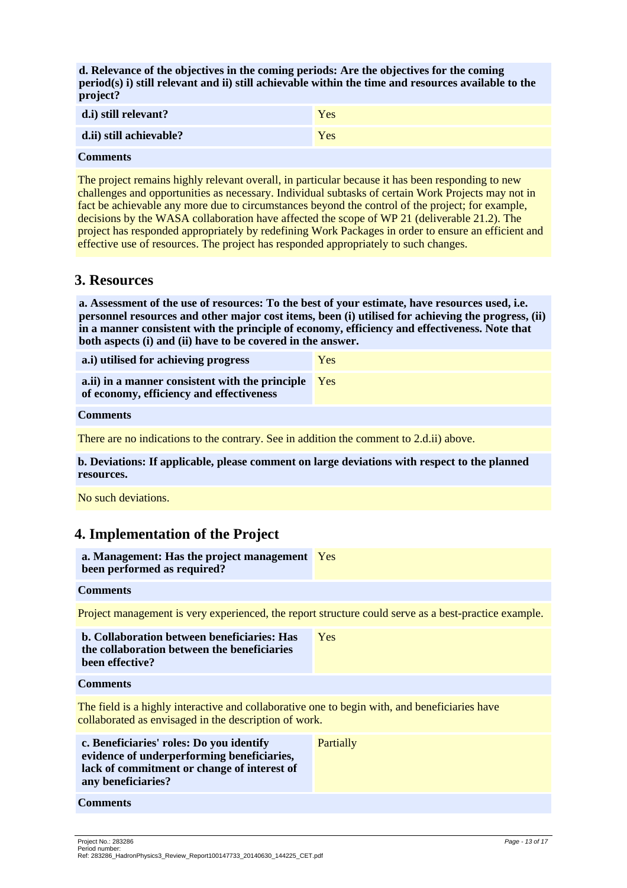**d. Relevance of the objectives in the coming periods: Are the objectives for the coming period(s) i) still relevant and ii) still achievable within the time and resources available to the project?**

| d.i) still relevant?    | Yes |
|-------------------------|-----|
| d.ii) still achievable? | Yes |

#### **Comments**

The project remains highly relevant overall, in particular because it has been responding to new challenges and opportunities as necessary. Individual subtasks of certain Work Projects may not in fact be achievable any more due to circumstances beyond the control of the project; for example, decisions by the WASA collaboration have affected the scope of WP 21 (deliverable 21.2). The project has responded appropriately by redefining Work Packages in order to ensure an efficient and effective use of resources. The project has responded appropriately to such changes.

#### **3. Resources**

**a. Assessment of the use of resources: To the best of your estimate, have resources used, i.e. personnel resources and other major cost items, been (i) utilised for achieving the progress, (ii) in a manner consistent with the principle of economy, efficiency and effectiveness. Note that both aspects (i) and (ii) have to be covered in the answer.**

| a.i) utilised for achieving progress                                                        | Yes |
|---------------------------------------------------------------------------------------------|-----|
| a.ii) in a manner consistent with the principle<br>of economy, efficiency and effectiveness | Yes |
|                                                                                             |     |

#### **Comments**

There are no indications to the contrary. See in addition the comment to 2.d.ii) above.

**b. Deviations: If applicable, please comment on large deviations with respect to the planned resources.**

No such deviations.

### **4. Implementation of the Project**

| a. Management: Has the project management Yes<br>been performed as required?                                                                                |           |
|-------------------------------------------------------------------------------------------------------------------------------------------------------------|-----------|
| <b>Comments</b>                                                                                                                                             |           |
| Project management is very experienced, the report structure could serve as a best-practice example.                                                        |           |
| b. Collaboration between beneficiaries: Has<br>the collaboration between the beneficiaries<br>been effective?                                               | Yes       |
| <b>Comments</b>                                                                                                                                             |           |
| The field is a highly interactive and collaborative one to begin with, and beneficiaries have<br>collaborated as envisaged in the description of work.      |           |
| c. Beneficiaries' roles: Do you identify<br>evidence of underperforming beneficiaries,<br>lack of commitment or change of interest of<br>any beneficiaries? | Partially |

#### **Comments**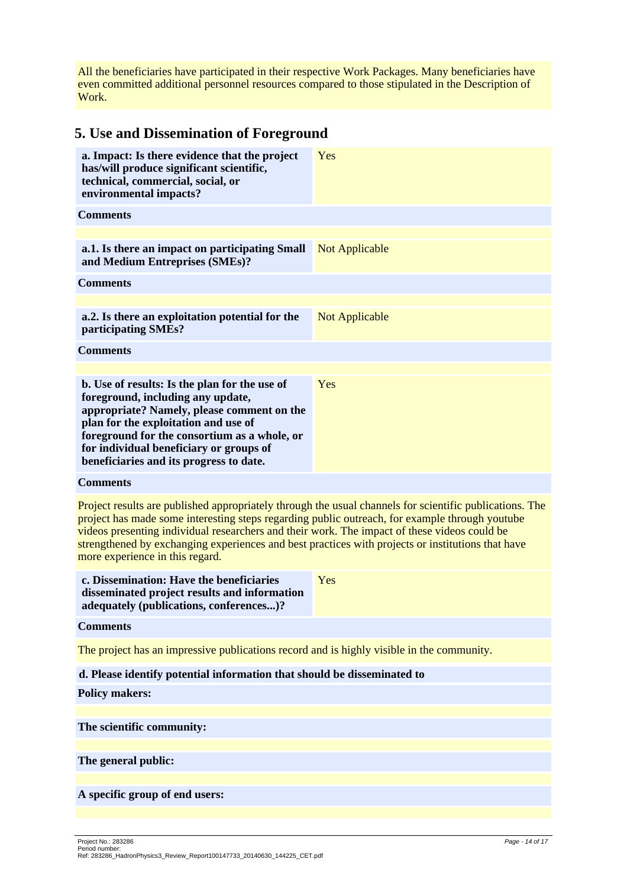All the beneficiaries have participated in their respective Work Packages. Many beneficiaries have even committed additional personnel resources compared to those stipulated in the Description of Work.

## **5. Use and Dissemination of Foreground**

| a. Impact: Is there evidence that the project<br>has/will produce significant scientific,<br>technical, commercial, social, or<br>environmental impacts?                                                                                                                                                                                                                                                                                          | Yes                   |
|---------------------------------------------------------------------------------------------------------------------------------------------------------------------------------------------------------------------------------------------------------------------------------------------------------------------------------------------------------------------------------------------------------------------------------------------------|-----------------------|
| <b>Comments</b>                                                                                                                                                                                                                                                                                                                                                                                                                                   |                       |
|                                                                                                                                                                                                                                                                                                                                                                                                                                                   |                       |
| a.1. Is there an impact on participating Small<br>and Medium Entreprises (SMEs)?                                                                                                                                                                                                                                                                                                                                                                  | <b>Not Applicable</b> |
| <b>Comments</b>                                                                                                                                                                                                                                                                                                                                                                                                                                   |                       |
|                                                                                                                                                                                                                                                                                                                                                                                                                                                   |                       |
| a.2. Is there an exploitation potential for the<br>participating SMEs?                                                                                                                                                                                                                                                                                                                                                                            | <b>Not Applicable</b> |
| <b>Comments</b>                                                                                                                                                                                                                                                                                                                                                                                                                                   |                       |
|                                                                                                                                                                                                                                                                                                                                                                                                                                                   |                       |
| b. Use of results: Is the plan for the use of<br>foreground, including any update,<br>appropriate? Namely, please comment on the<br>plan for the exploitation and use of<br>foreground for the consortium as a whole, or<br>for individual beneficiary or groups of<br>beneficiaries and its progress to date.                                                                                                                                    | Yes                   |
| <b>Comments</b>                                                                                                                                                                                                                                                                                                                                                                                                                                   |                       |
| Project results are published appropriately through the usual channels for scientific publications. The<br>project has made some interesting steps regarding public outreach, for example through youtube<br>videos presenting individual researchers and their work. The impact of these videos could be<br>strengthened by exchanging experiences and best practices with projects or institutions that have<br>more experience in this regard. |                       |
| c. Dissemination: Have the beneficiaries<br>disseminated project results and information<br>adequately (publications, conferences)?                                                                                                                                                                                                                                                                                                               | Yes                   |
| <b>Comments</b>                                                                                                                                                                                                                                                                                                                                                                                                                                   |                       |
| The project has an impressive publications record and is highly visible in the community.                                                                                                                                                                                                                                                                                                                                                         |                       |
| d. Please identify potential information that should be disseminated to                                                                                                                                                                                                                                                                                                                                                                           |                       |
| <b>Policy makers:</b>                                                                                                                                                                                                                                                                                                                                                                                                                             |                       |
|                                                                                                                                                                                                                                                                                                                                                                                                                                                   |                       |
| The scientific community:                                                                                                                                                                                                                                                                                                                                                                                                                         |                       |
|                                                                                                                                                                                                                                                                                                                                                                                                                                                   |                       |
| The general public:                                                                                                                                                                                                                                                                                                                                                                                                                               |                       |

**A specific group of end users:**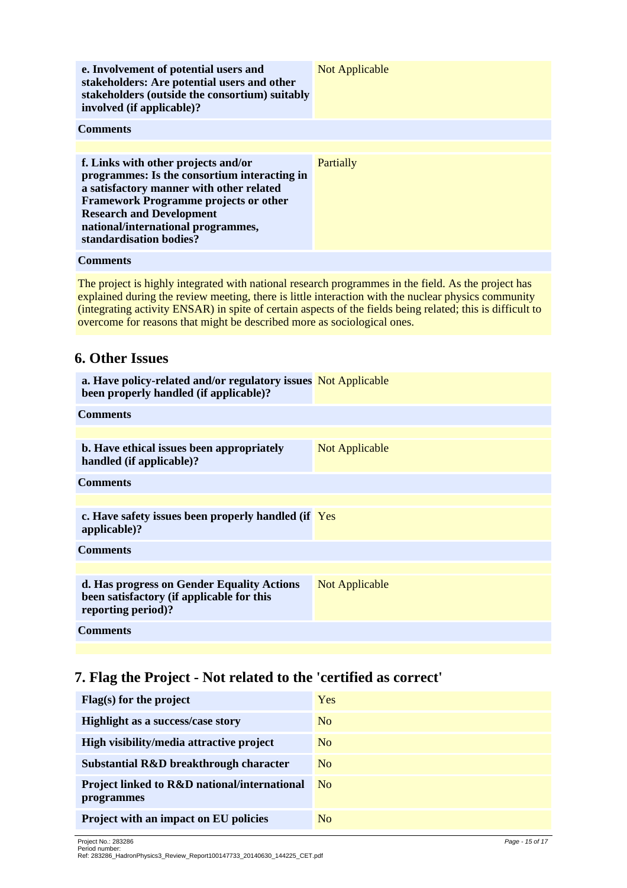| e. Involvement of potential users and<br>stakeholders: Are potential users and other<br>stakeholders (outside the consortium) suitably<br>involved (if applicable)?                                                                                                                 | <b>Not Applicable</b> |
|-------------------------------------------------------------------------------------------------------------------------------------------------------------------------------------------------------------------------------------------------------------------------------------|-----------------------|
| <b>Comments</b>                                                                                                                                                                                                                                                                     |                       |
|                                                                                                                                                                                                                                                                                     |                       |
| f. Links with other projects and/or<br>programmes: Is the consortium interacting in<br>a satisfactory manner with other related<br><b>Framework Programme projects or other</b><br><b>Research and Development</b><br>national/international programmes,<br>standardisation bodies? | Partially             |
| <b>Comments</b>                                                                                                                                                                                                                                                                     |                       |

The project is highly integrated with national research programmes in the field. As the project has explained during the review meeting, there is little interaction with the nuclear physics community (integrating activity ENSAR) in spite of certain aspects of the fields being related; this is difficult to overcome for reasons that might be described more as sociological ones.

### **6. Other Issues**

| a. Have policy-related and/or regulatory issues Not Applicable<br>been properly handled (if applicable)?      |                |
|---------------------------------------------------------------------------------------------------------------|----------------|
| <b>Comments</b>                                                                                               |                |
|                                                                                                               |                |
| b. Have ethical issues been appropriately<br>handled (if applicable)?                                         | Not Applicable |
| <b>Comments</b>                                                                                               |                |
|                                                                                                               |                |
| c. Have safety issues been properly handled (if Yes<br>applicable)?                                           |                |
| <b>Comments</b>                                                                                               |                |
|                                                                                                               |                |
| d. Has progress on Gender Equality Actions<br>been satisfactory (if applicable for this<br>reporting period)? | Not Applicable |
| <b>Comments</b>                                                                                               |                |

## **7. Flag the Project - Not related to the 'certified as correct'**

| Flag(s) for the project                                                      | Yes            |
|------------------------------------------------------------------------------|----------------|
| <b>Highlight as a success/case story</b>                                     | No             |
| High visibility/media attractive project                                     | No             |
| Substantial R&D breakthrough character                                       | N <sub>o</sub> |
| <b>Project linked to R&amp;D national/international</b><br><i>programmes</i> | N <sub>0</sub> |
| Project with an impact on EU policies                                        | N <sub>o</sub> |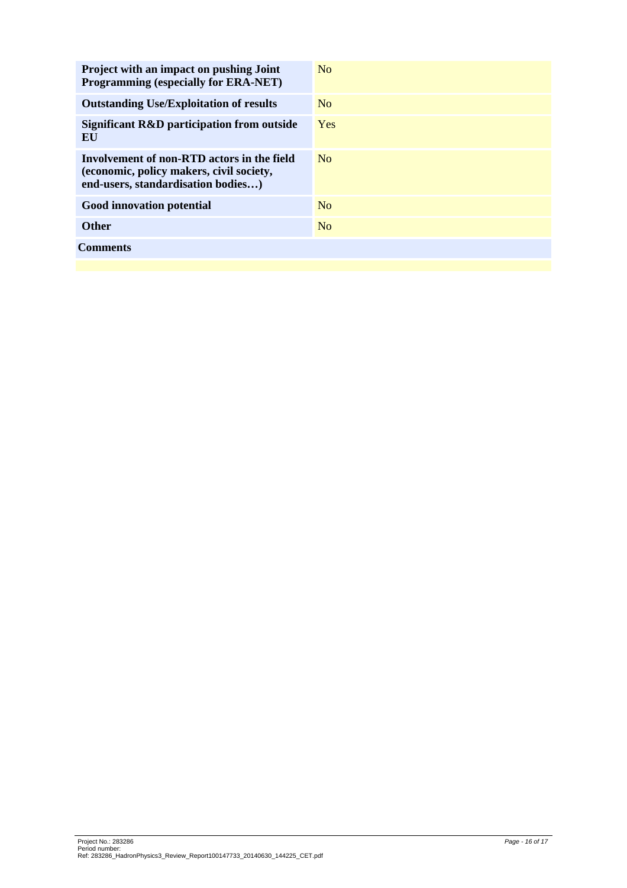| <b>Project with an impact on pushing Joint</b><br><b>Programming (especially for ERA-NET)</b>                                | N <sub>0</sub> |
|------------------------------------------------------------------------------------------------------------------------------|----------------|
| <b>Outstanding Use/Exploitation of results</b>                                                                               | N <sub>o</sub> |
| Significant R&D participation from outside<br>EU                                                                             | <b>Yes</b>     |
| Involvement of non-RTD actors in the field<br>(economic, policy makers, civil society,<br>end-users, standardisation bodies) | N <sub>0</sub> |
| Good innovation potential                                                                                                    | N <sub>o</sub> |
| <b>Other</b>                                                                                                                 | N <sub>o</sub> |
| Comments                                                                                                                     |                |
|                                                                                                                              |                |